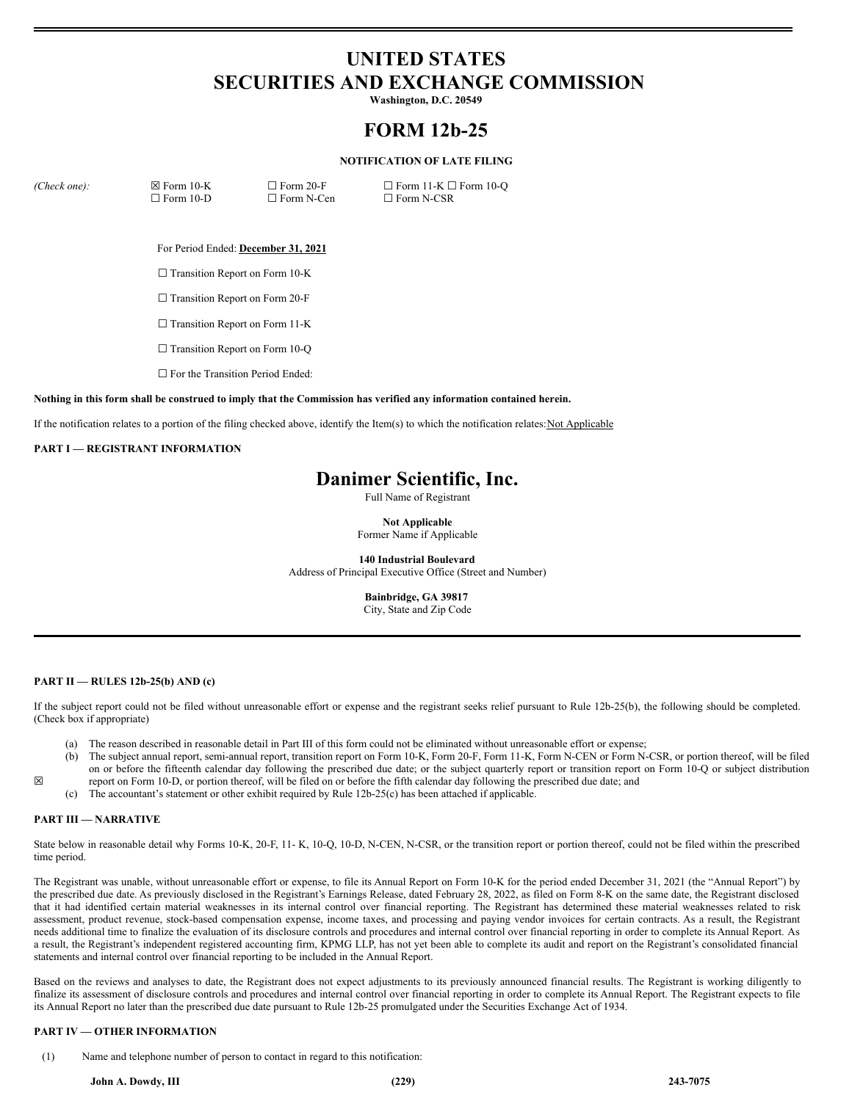# **UNITED STATES SECURITIES AND EXCHANGE COMMISSION**

**Washington, D.C. 20549**

## **FORM 12b-25**

### **NOTIFICATION OF LATE FILING**

*(Check one):* ☒ Form 10-K

☐ Form 20-F □ Form N-Cen  $\Box$  Form 11-K  $\Box$  Form 10-Q ☐ Form N-CSR

For Period Ended: **December 31, 2021**

□ Transition Report on Form 10-K

□ Transition Report on Form 20-F

☐ Form 10-D

□ Transition Report on Form 11-K

□ Transition Report on Form 10-Q

□ For the Transition Period Ended:

Nothing in this form shall be construed to imply that the Commission has verified any information contained herein.

If the notification relates to a portion of the filing checked above, identify the Item(s) to which the notification relates:Not Applicable

### **PART I — REGISTRANT INFORMATION**

### **Danimer Scientific, Inc.**

Full Name of Registrant

**Not Applicable**

Former Name if Applicable

**140 Industrial Boulevard** Address of Principal Executive Office (Street and Number)

> **Bainbridge, GA 39817** City, State and Zip Code

### **PART II — RULES 12b-25(b) AND (c)**

If the subject report could not be filed without unreasonable effort or expense and the registrant seeks relief pursuant to Rule 12b-25(b), the following should be completed. (Check box if appropriate)

- (a) The reason described in reasonable detail in Part III of this form could not be eliminated without unreasonable effort or expense;
- (b) The subject annual report, semi-annual report, transition report on Form 10-K, Form 20-F, Form 11-K, Form N-CEN or Form N-CSR, or portion thereof, will be filed on or before the fifteenth calendar day following the prescribed due date; or the subject quarterly report or transition report on Form 10-Q or subject distribution report on Form 10-D, or portion thereof, will be filed on or before the fifth calendar day following the prescribed due date; and
- (c) The accountant's statement or other exhibit required by Rule 12b-25(c) has been attached if applicable.

### **PART III — NARRATIVE**

☒

State below in reasonable detail why Forms 10-K, 20-F, 11- K, 10-Q, 10-D, N-CEN, N-CSR, or the transition report or portion thereof, could not be filed within the prescribed time period.

The Registrant was unable, without unreasonable effort or expense, to file its Annual Report on Form 10-K for the period ended December 31, 2021 (the "Annual Report") by the prescribed due date. As previously disclosed in the Registrant's Earnings Release, dated February 28, 2022, as filed on Form 8-K on the same date, the Registrant disclosed that it had identified certain material weaknesses in its internal control over financial reporting. The Registrant has determined these material weaknesses related to risk assessment, product revenue, stock-based compensation expense, income taxes, and processing and paying vendor invoices for certain contracts. As a result, the Registrant needs additional time to finalize the evaluation of its disclosure controls and procedures and internal control over financial reporting in order to complete its Annual Report. As a result, the Registrant's independent registered accounting firm, KPMG LLP, has not yet been able to complete its audit and report on the Registrant's consolidated financial statements and internal control over financial reporting to be included in the Annual Report.

Based on the reviews and analyses to date, the Registrant does not expect adjustments to its previously announced financial results. The Registrant is working diligently to finalize its assessment of disclosure controls and procedures and internal control over financial reporting in order to complete its Annual Report. The Registrant expects to file its Annual Report no later than the prescribed due date pursuant to Rule 12b-25 promulgated under the Securities Exchange Act of 1934.

### **PART IV — OTHER INFORMATION**

(1) Name and telephone number of person to contact in regard to this notification: